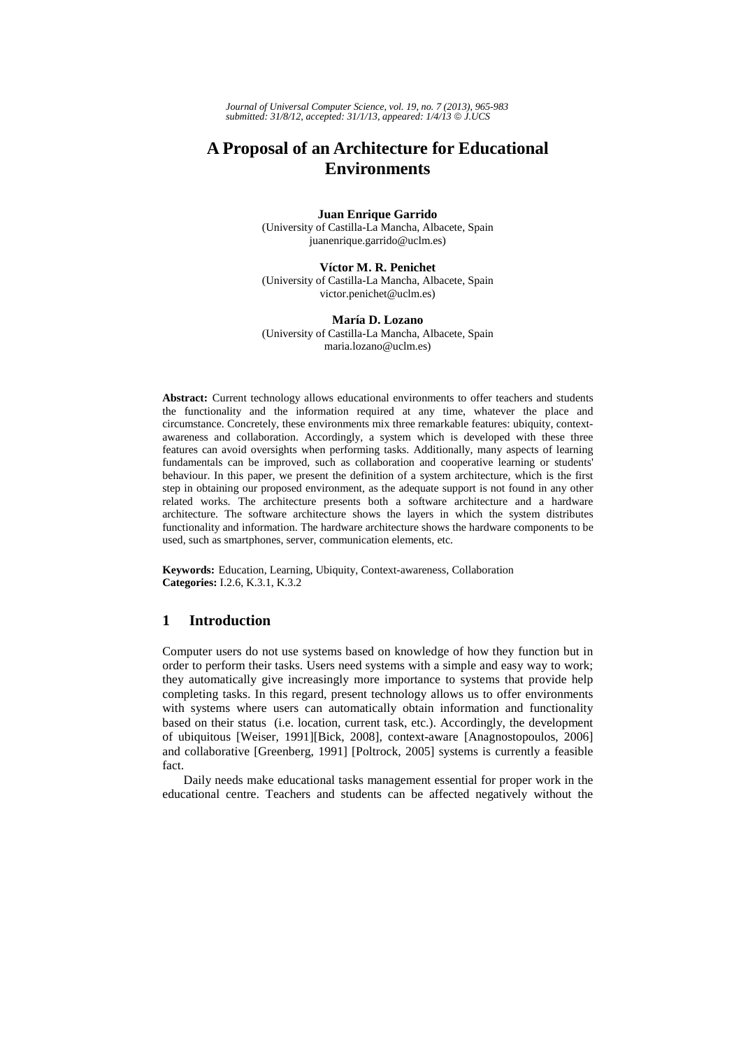*Journal of Universal Computer Science, vol. 19, no. 7 (2013), 965-983 submitted: 31/8/12, accepted: 31/1/13, appeared: 1/4/13* © *J.UCS*

# **A Proposal of an Architecture for Educational Environments**

#### **Juan Enrique Garrido**

(University of Castilla-La Mancha, Albacete, Spain juanenrique.garrido@uclm.es)

#### **Víctor M. R. Penichet**

(University of Castilla-La Mancha, Albacete, Spain victor.penichet@uclm.es)

#### **María D. Lozano**

(University of Castilla-La Mancha, Albacete, Spain maria.lozano@uclm.es)

**Abstract:** Current technology allows educational environments to offer teachers and students the functionality and the information required at any time, whatever the place and circumstance. Concretely, these environments mix three remarkable features: ubiquity, contextawareness and collaboration. Accordingly, a system which is developed with these three features can avoid oversights when performing tasks. Additionally, many aspects of learning fundamentals can be improved, such as collaboration and cooperative learning or students' behaviour. In this paper, we present the definition of a system architecture, which is the first step in obtaining our proposed environment, as the adequate support is not found in any other related works. The architecture presents both a software architecture and a hardware architecture. The software architecture shows the layers in which the system distributes functionality and information. The hardware architecture shows the hardware components to be used, such as smartphones, server, communication elements, etc.

**Keywords:** Education, Learning, Ubiquity, Context-awareness, Collaboration **Categories:** I.2.6, K.3.1, K.3.2

## **1 Introduction**

Computer users do not use systems based on knowledge of how they function but in order to perform their tasks. Users need systems with a simple and easy way to work; they automatically give increasingly more importance to systems that provide help completing tasks. In this regard, present technology allows us to offer environments with systems where users can automatically obtain information and functionality based on their status (i.e. location, current task, etc.). Accordingly, the development of ubiquitous [Weiser, 1991][Bick, 2008], context-aware [Anagnostopoulos, 2006] and collaborative [Greenberg, 1991] [Poltrock, 2005] systems is currently a feasible fact.

Daily needs make educational tasks management essential for proper work in the educational centre. Teachers and students can be affected negatively without the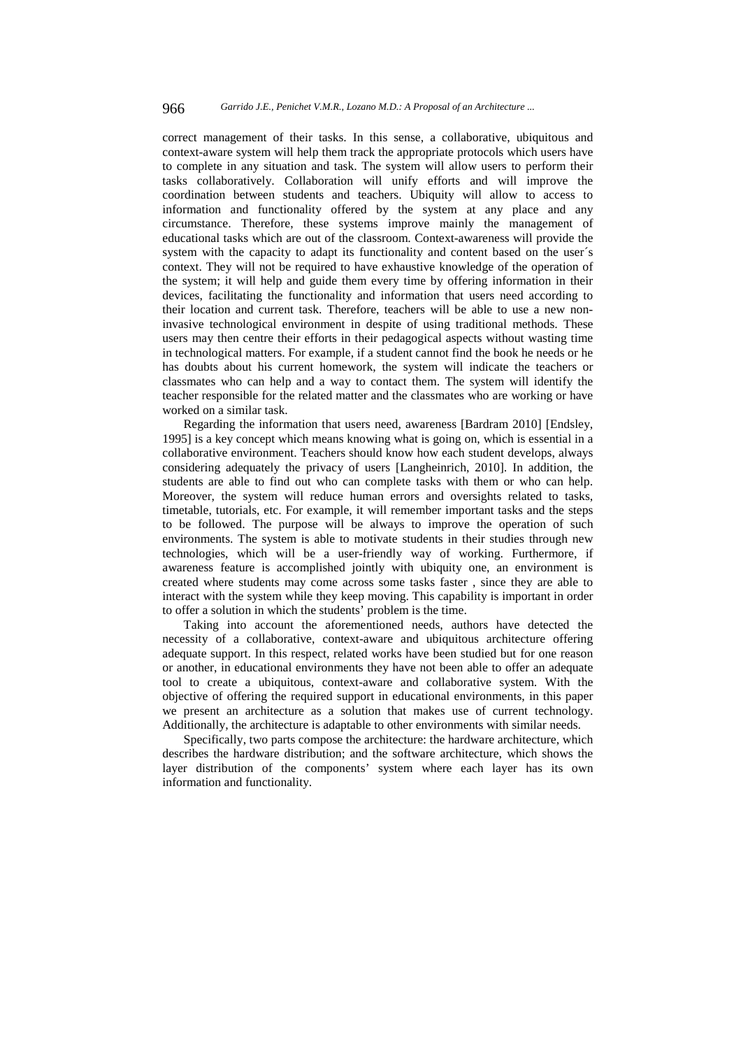correct management of their tasks. In this sense, a collaborative, ubiquitous and context-aware system will help them track the appropriate protocols which users have to complete in any situation and task. The system will allow users to perform their tasks collaboratively. Collaboration will unify efforts and will improve the coordination between students and teachers. Ubiquity will allow to access to information and functionality offered by the system at any place and any circumstance. Therefore, these systems improve mainly the management of educational tasks which are out of the classroom. Context-awareness will provide the system with the capacity to adapt its functionality and content based on the user´s context. They will not be required to have exhaustive knowledge of the operation of the system; it will help and guide them every time by offering information in their devices, facilitating the functionality and information that users need according to their location and current task. Therefore, teachers will be able to use a new noninvasive technological environment in despite of using traditional methods. These users may then centre their efforts in their pedagogical aspects without wasting time in technological matters. For example, if a student cannot find the book he needs or he has doubts about his current homework, the system will indicate the teachers or classmates who can help and a way to contact them. The system will identify the teacher responsible for the related matter and the classmates who are working or have worked on a similar task.

Regarding the information that users need, awareness [Bardram 2010] [Endsley, 1995] is a key concept which means knowing what is going on, which is essential in a collaborative environment. Teachers should know how each student develops, always considering adequately the privacy of users [Langheinrich, 2010]. In addition, the students are able to find out who can complete tasks with them or who can help. Moreover, the system will reduce human errors and oversights related to tasks, timetable, tutorials, etc. For example, it will remember important tasks and the steps to be followed. The purpose will be always to improve the operation of such environments. The system is able to motivate students in their studies through new technologies, which will be a user-friendly way of working. Furthermore, if awareness feature is accomplished jointly with ubiquity one, an environment is created where students may come across some tasks faster , since they are able to interact with the system while they keep moving. This capability is important in order to offer a solution in which the students' problem is the time.

Taking into account the aforementioned needs, authors have detected the necessity of a collaborative, context-aware and ubiquitous architecture offering adequate support. In this respect, related works have been studied but for one reason or another, in educational environments they have not been able to offer an adequate tool to create a ubiquitous, context-aware and collaborative system. With the objective of offering the required support in educational environments, in this paper we present an architecture as a solution that makes use of current technology. Additionally, the architecture is adaptable to other environments with similar needs.

Specifically, two parts compose the architecture: the hardware architecture, which describes the hardware distribution; and the software architecture, which shows the layer distribution of the components' system where each layer has its own information and functionality.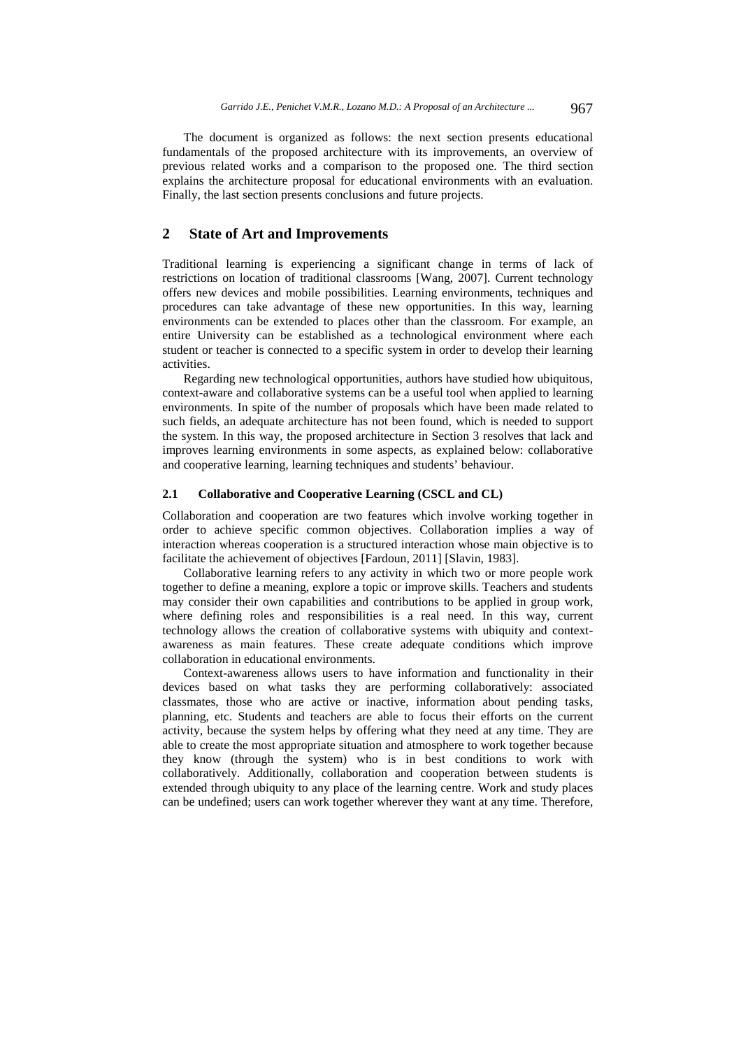The document is organized as follows: the next section presents educational fundamentals of the proposed architecture with its improvements, an overview of previous related works and a comparison to the proposed one. The third section explains the architecture proposal for educational environments with an evaluation. Finally, the last section presents conclusions and future projects.

# **2 State of Art and Improvements**

Traditional learning is experiencing a significant change in terms of lack of restrictions on location of traditional classrooms [Wang, 2007]. Current technology offers new devices and mobile possibilities. Learning environments, techniques and procedures can take advantage of these new opportunities. In this way, learning environments can be extended to places other than the classroom. For example, an entire University can be established as a technological environment where each student or teacher is connected to a specific system in order to develop their learning activities.

Regarding new technological opportunities, authors have studied how ubiquitous, context-aware and collaborative systems can be a useful tool when applied to learning environments. In spite of the number of proposals which have been made related to such fields, an adequate architecture has not been found, which is needed to support the system. In this way, the proposed architecture in Section 3 resolves that lack and improves learning environments in some aspects, as explained below: collaborative and cooperative learning, learning techniques and students' behaviour.

#### **2.1 Collaborative and Cooperative Learning (CSCL and CL)**

Collaboration and cooperation are two features which involve working together in order to achieve specific common objectives. Collaboration implies a way of interaction whereas cooperation is a structured interaction whose main objective is to facilitate the achievement of objectives [Fardoun, 2011] [Slavin, 1983].

Collaborative learning refers to any activity in which two or more people work together to define a meaning, explore a topic or improve skills. Teachers and students may consider their own capabilities and contributions to be applied in group work, where defining roles and responsibilities is a real need. In this way, current technology allows the creation of collaborative systems with ubiquity and contextawareness as main features. These create adequate conditions which improve collaboration in educational environments.

Context-awareness allows users to have information and functionality in their devices based on what tasks they are performing collaboratively: associated classmates, those who are active or inactive, information about pending tasks, planning, etc. Students and teachers are able to focus their efforts on the current activity, because the system helps by offering what they need at any time. They are able to create the most appropriate situation and atmosphere to work together because they know (through the system) who is in best conditions to work with collaboratively. Additionally, collaboration and cooperation between students is extended through ubiquity to any place of the learning centre. Work and study places can be undefined; users can work together wherever they want at any time. Therefore,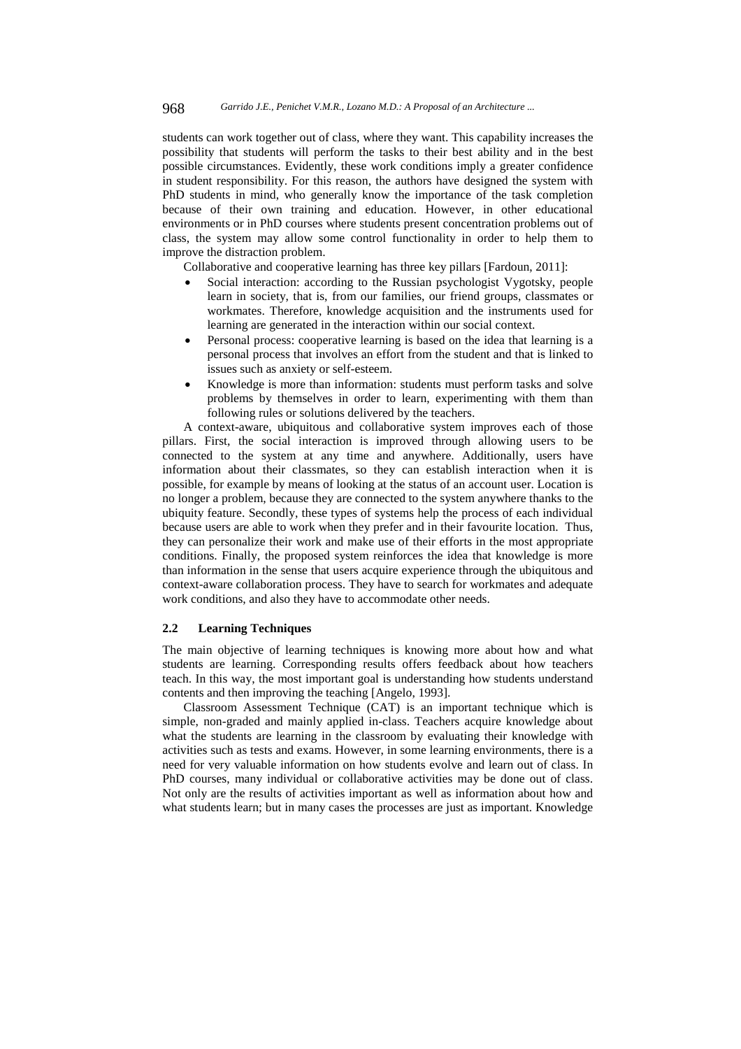students can work together out of class, where they want. This capability increases the possibility that students will perform the tasks to their best ability and in the best possible circumstances. Evidently, these work conditions imply a greater confidence in student responsibility. For this reason, the authors have designed the system with PhD students in mind, who generally know the importance of the task completion because of their own training and education. However, in other educational environments or in PhD courses where students present concentration problems out of class, the system may allow some control functionality in order to help them to improve the distraction problem.

Collaborative and cooperative learning has three key pillars [Fardoun, 2011]:

- Social interaction: according to the Russian psychologist Vygotsky, people learn in society, that is, from our families, our friend groups, classmates or workmates. Therefore, knowledge acquisition and the instruments used for learning are generated in the interaction within our social context.
- Personal process: cooperative learning is based on the idea that learning is a personal process that involves an effort from the student and that is linked to issues such as anxiety or self-esteem.
- Knowledge is more than information: students must perform tasks and solve problems by themselves in order to learn, experimenting with them than following rules or solutions delivered by the teachers.

A context-aware, ubiquitous and collaborative system improves each of those pillars. First, the social interaction is improved through allowing users to be connected to the system at any time and anywhere. Additionally, users have information about their classmates, so they can establish interaction when it is possible, for example by means of looking at the status of an account user. Location is no longer a problem, because they are connected to the system anywhere thanks to the ubiquity feature. Secondly, these types of systems help the process of each individual because users are able to work when they prefer and in their favourite location. Thus, they can personalize their work and make use of their efforts in the most appropriate conditions. Finally, the proposed system reinforces the idea that knowledge is more than information in the sense that users acquire experience through the ubiquitous and context-aware collaboration process. They have to search for workmates and adequate work conditions, and also they have to accommodate other needs.

#### **2.2 Learning Techniques**

The main objective of learning techniques is knowing more about how and what students are learning. Corresponding results offers feedback about how teachers teach. In this way, the most important goal is understanding how students understand contents and then improving the teaching [Angelo, 1993].

Classroom Assessment Technique (CAT) is an important technique which is simple, non-graded and mainly applied in-class. Teachers acquire knowledge about what the students are learning in the classroom by evaluating their knowledge with activities such as tests and exams. However, in some learning environments, there is a need for very valuable information on how students evolve and learn out of class. In PhD courses, many individual or collaborative activities may be done out of class. Not only are the results of activities important as well as information about how and what students learn; but in many cases the processes are just as important. Knowledge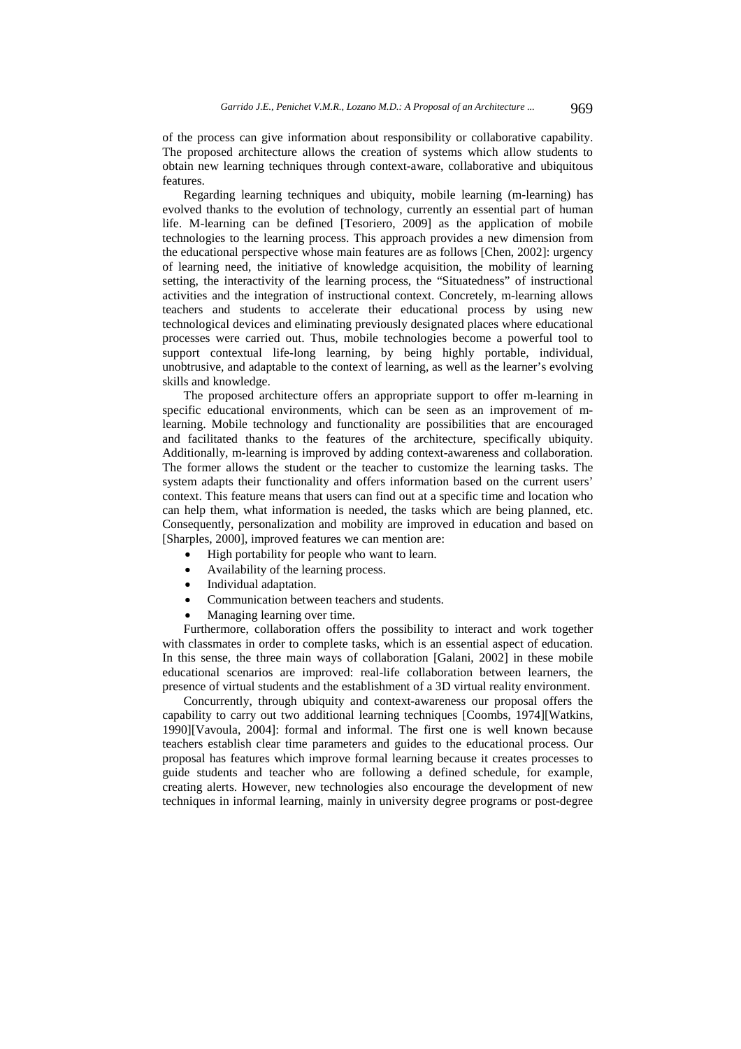of the process can give information about responsibility or collaborative capability. The proposed architecture allows the creation of systems which allow students to obtain new learning techniques through context-aware, collaborative and ubiquitous features.

Regarding learning techniques and ubiquity, mobile learning (m-learning) has evolved thanks to the evolution of technology, currently an essential part of human life. M-learning can be defined [Tesoriero, 2009] as the application of mobile technologies to the learning process. This approach provides a new dimension from the educational perspective whose main features are as follows [Chen, 2002]: urgency of learning need, the initiative of knowledge acquisition, the mobility of learning setting, the interactivity of the learning process, the "Situatedness" of instructional activities and the integration of instructional context. Concretely, m-learning allows teachers and students to accelerate their educational process by using new technological devices and eliminating previously designated places where educational processes were carried out. Thus, mobile technologies become a powerful tool to support contextual life-long learning, by being highly portable, individual, unobtrusive, and adaptable to the context of learning, as well as the learner's evolving skills and knowledge.

The proposed architecture offers an appropriate support to offer m-learning in specific educational environments, which can be seen as an improvement of mlearning. Mobile technology and functionality are possibilities that are encouraged and facilitated thanks to the features of the architecture, specifically ubiquity. Additionally, m-learning is improved by adding context-awareness and collaboration. The former allows the student or the teacher to customize the learning tasks. The system adapts their functionality and offers information based on the current users' context. This feature means that users can find out at a specific time and location who can help them, what information is needed, the tasks which are being planned, etc. Consequently, personalization and mobility are improved in education and based on [Sharples, 2000], improved features we can mention are:

- High portability for people who want to learn.
- Availability of the learning process.
- Individual adaptation.
- Communication between teachers and students.
- Managing learning over time.

Furthermore, collaboration offers the possibility to interact and work together with classmates in order to complete tasks, which is an essential aspect of education. In this sense, the three main ways of collaboration [Galani, 2002] in these mobile educational scenarios are improved: real-life collaboration between learners, the presence of virtual students and the establishment of a 3D virtual reality environment.

Concurrently, through ubiquity and context-awareness our proposal offers the capability to carry out two additional learning techniques [Coombs, 1974][Watkins, 1990][Vavoula, 2004]: formal and informal. The first one is well known because teachers establish clear time parameters and guides to the educational process. Our proposal has features which improve formal learning because it creates processes to guide students and teacher who are following a defined schedule, for example, creating alerts. However, new technologies also encourage the development of new techniques in informal learning, mainly in university degree programs or post-degree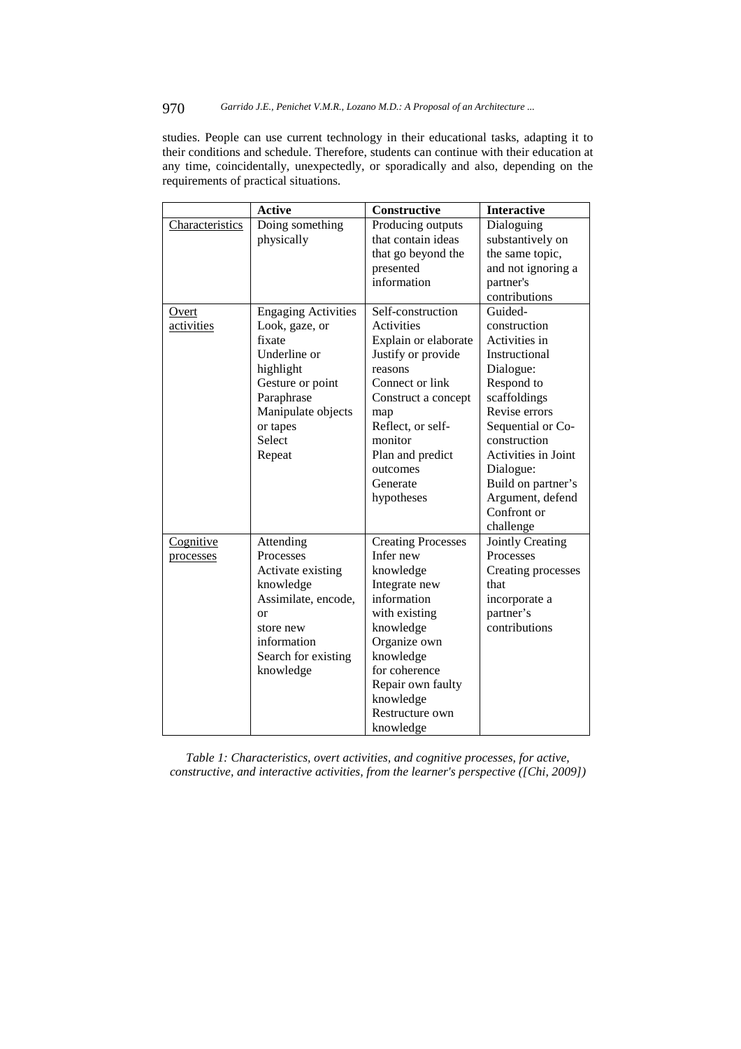# 970 *Garrido J.E., Penichet V.M.R., Lozano M.D.: A Proposal of an Architecture ...*

studies. People can use current technology in their educational tasks, adapting it to their conditions and schedule. Therefore, students can continue with their education at any time, coincidentally, unexpectedly, or sporadically and also, depending on the requirements of practical situations.

|                 | <b>Active</b>              | Constructive              | <b>Interactive</b>         |
|-----------------|----------------------------|---------------------------|----------------------------|
| Characteristics | Doing something            | Producing outputs         | Dialoguing                 |
|                 | physically                 | that contain ideas        | substantively on           |
|                 |                            | that go beyond the        | the same topic,            |
|                 |                            | presented                 | and not ignoring a         |
|                 |                            | information               | partner's                  |
|                 |                            |                           | contributions              |
| Overt           | <b>Engaging Activities</b> | Self-construction         | Guided-                    |
| activities      | Look, gaze, or             | Activities                | construction               |
|                 | fixate                     | Explain or elaborate      | Activities in              |
|                 | Underline or               | Justify or provide        | Instructional              |
|                 | highlight                  | reasons                   | Dialogue:                  |
|                 | Gesture or point           | Connect or link           | Respond to                 |
|                 | Paraphrase                 | Construct a concept       | scaffoldings               |
|                 | Manipulate objects         | map                       | Revise errors              |
|                 | or tapes                   | Reflect, or self-         | Sequential or Co-          |
|                 | Select                     | monitor                   | construction               |
|                 | Repeat                     | Plan and predict          | <b>Activities in Joint</b> |
|                 |                            | outcomes                  | Dialogue:                  |
|                 |                            | Generate                  | Build on partner's         |
|                 |                            | hypotheses                | Argument, defend           |
|                 |                            |                           | Confront or                |
|                 |                            |                           | challenge                  |
| Cognitive       | Attending                  | <b>Creating Processes</b> | Jointly Creating           |
| processes       | Processes                  | Infer new                 | Processes                  |
|                 | Activate existing          | knowledge                 | Creating processes         |
|                 | knowledge                  | Integrate new             | that                       |
|                 | Assimilate, encode,        | information               | incorporate a              |
|                 | <b>or</b>                  | with existing             | partner's                  |
|                 | store new                  | knowledge                 | contributions              |
|                 | information                | Organize own              |                            |
|                 | Search for existing        | knowledge                 |                            |
|                 | knowledge                  | for coherence             |                            |
|                 |                            | Repair own faulty         |                            |
|                 |                            | knowledge                 |                            |
|                 |                            | Restructure own           |                            |
|                 |                            | knowledge                 |                            |

*Table 1: Characteristics, overt activities, and cognitive processes, for active, constructive, and interactive activities, from the learner's perspective ([Chi, 2009])*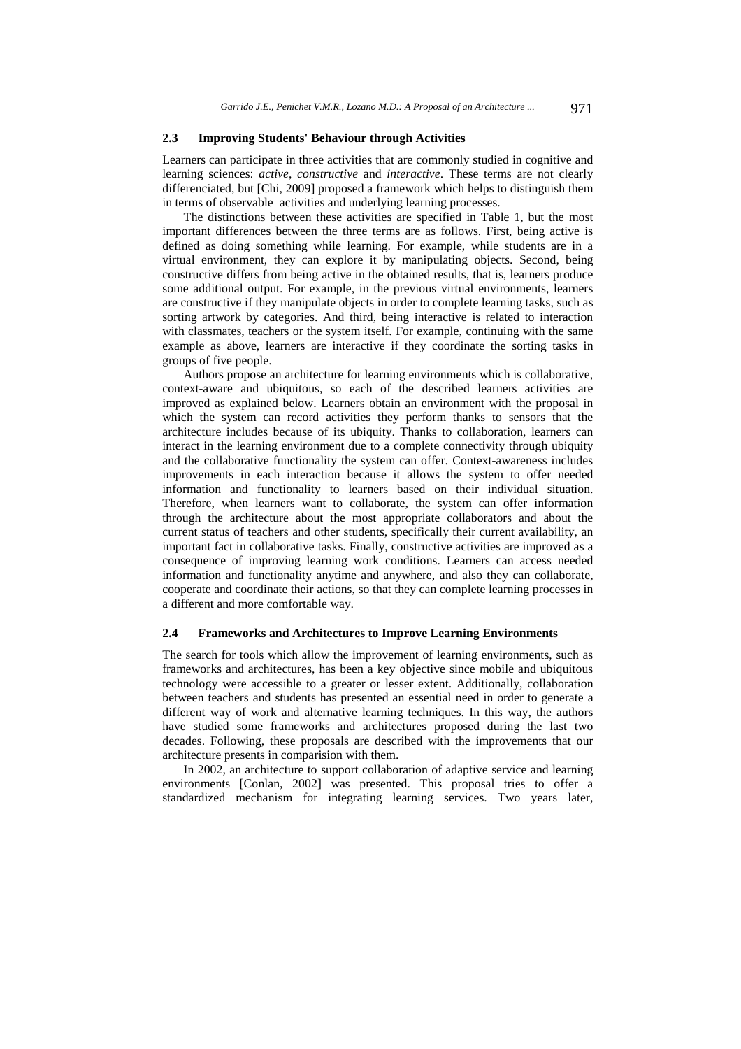#### **2.3 Improving Students' Behaviour through Activities**

Learners can participate in three activities that are commonly studied in cognitive and learning sciences: *active*, *constructive* and *interactive*. These terms are not clearly differenciated, but [Chi, 2009] proposed a framework which helps to distinguish them in terms of observable activities and underlying learning processes.

The distinctions between these activities are specified in Table 1, but the most important differences between the three terms are as follows. First, being active is defined as doing something while learning. For example, while students are in a virtual environment, they can explore it by manipulating objects. Second, being constructive differs from being active in the obtained results, that is, learners produce some additional output. For example, in the previous virtual environments, learners are constructive if they manipulate objects in order to complete learning tasks, such as sorting artwork by categories. And third, being interactive is related to interaction with classmates, teachers or the system itself. For example, continuing with the same example as above, learners are interactive if they coordinate the sorting tasks in groups of five people.

Authors propose an architecture for learning environments which is collaborative, context-aware and ubiquitous, so each of the described learners activities are improved as explained below. Learners obtain an environment with the proposal in which the system can record activities they perform thanks to sensors that the architecture includes because of its ubiquity. Thanks to collaboration, learners can interact in the learning environment due to a complete connectivity through ubiquity and the collaborative functionality the system can offer. Context-awareness includes improvements in each interaction because it allows the system to offer needed information and functionality to learners based on their individual situation. Therefore, when learners want to collaborate, the system can offer information through the architecture about the most appropriate collaborators and about the current status of teachers and other students, specifically their current availability, an important fact in collaborative tasks. Finally, constructive activities are improved as a consequence of improving learning work conditions. Learners can access needed information and functionality anytime and anywhere, and also they can collaborate, cooperate and coordinate their actions, so that they can complete learning processes in a different and more comfortable way.

## **2.4 Frameworks and Architectures to Improve Learning Environments**

The search for tools which allow the improvement of learning environments, such as frameworks and architectures, has been a key objective since mobile and ubiquitous technology were accessible to a greater or lesser extent. Additionally, collaboration between teachers and students has presented an essential need in order to generate a different way of work and alternative learning techniques. In this way, the authors have studied some frameworks and architectures proposed during the last two decades. Following, these proposals are described with the improvements that our architecture presents in comparision with them.

In 2002, an architecture to support collaboration of adaptive service and learning environments [Conlan, 2002] was presented. This proposal tries to offer a standardized mechanism for integrating learning services. Two years later,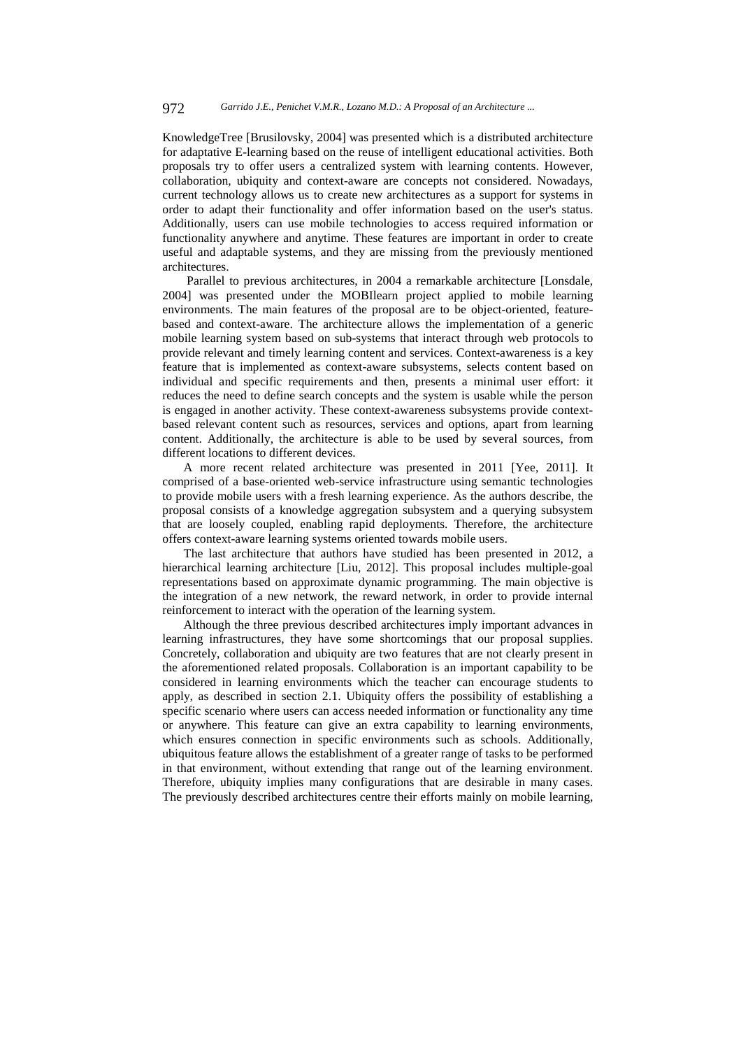KnowledgeTree [Brusilovsky, 2004] was presented which is a distributed architecture for adaptative E-learning based on the reuse of intelligent educational activities. Both proposals try to offer users a centralized system with learning contents. However, collaboration, ubiquity and context-aware are concepts not considered. Nowadays, current technology allows us to create new architectures as a support for systems in order to adapt their functionality and offer information based on the user's status. Additionally, users can use mobile technologies to access required information or functionality anywhere and anytime. These features are important in order to create useful and adaptable systems, and they are missing from the previously mentioned architectures.

 Parallel to previous architectures, in 2004 a remarkable architecture [Lonsdale, 2004] was presented under the MOBIlearn project applied to mobile learning environments. The main features of the proposal are to be object-oriented, featurebased and context-aware. The architecture allows the implementation of a generic mobile learning system based on sub-systems that interact through web protocols to provide relevant and timely learning content and services. Context-awareness is a key feature that is implemented as context-aware subsystems, selects content based on individual and specific requirements and then, presents a minimal user effort: it reduces the need to define search concepts and the system is usable while the person is engaged in another activity. These context-awareness subsystems provide contextbased relevant content such as resources, services and options, apart from learning content. Additionally, the architecture is able to be used by several sources, from different locations to different devices.

A more recent related architecture was presented in 2011 [Yee, 2011]. It comprised of a base-oriented web-service infrastructure using semantic technologies to provide mobile users with a fresh learning experience. As the authors describe, the proposal consists of a knowledge aggregation subsystem and a querying subsystem that are loosely coupled, enabling rapid deployments. Therefore, the architecture offers context-aware learning systems oriented towards mobile users.

The last architecture that authors have studied has been presented in 2012, a hierarchical learning architecture [Liu, 2012]. This proposal includes multiple-goal representations based on approximate dynamic programming. The main objective is the integration of a new network, the reward network, in order to provide internal reinforcement to interact with the operation of the learning system.

Although the three previous described architectures imply important advances in learning infrastructures, they have some shortcomings that our proposal supplies. Concretely, collaboration and ubiquity are two features that are not clearly present in the aforementioned related proposals. Collaboration is an important capability to be considered in learning environments which the teacher can encourage students to apply, as described in section 2.1. Ubiquity offers the possibility of establishing a specific scenario where users can access needed information or functionality any time or anywhere. This feature can give an extra capability to learning environments, which ensures connection in specific environments such as schools. Additionally, ubiquitous feature allows the establishment of a greater range of tasks to be performed in that environment, without extending that range out of the learning environment. Therefore, ubiquity implies many configurations that are desirable in many cases. The previously described architectures centre their efforts mainly on mobile learning,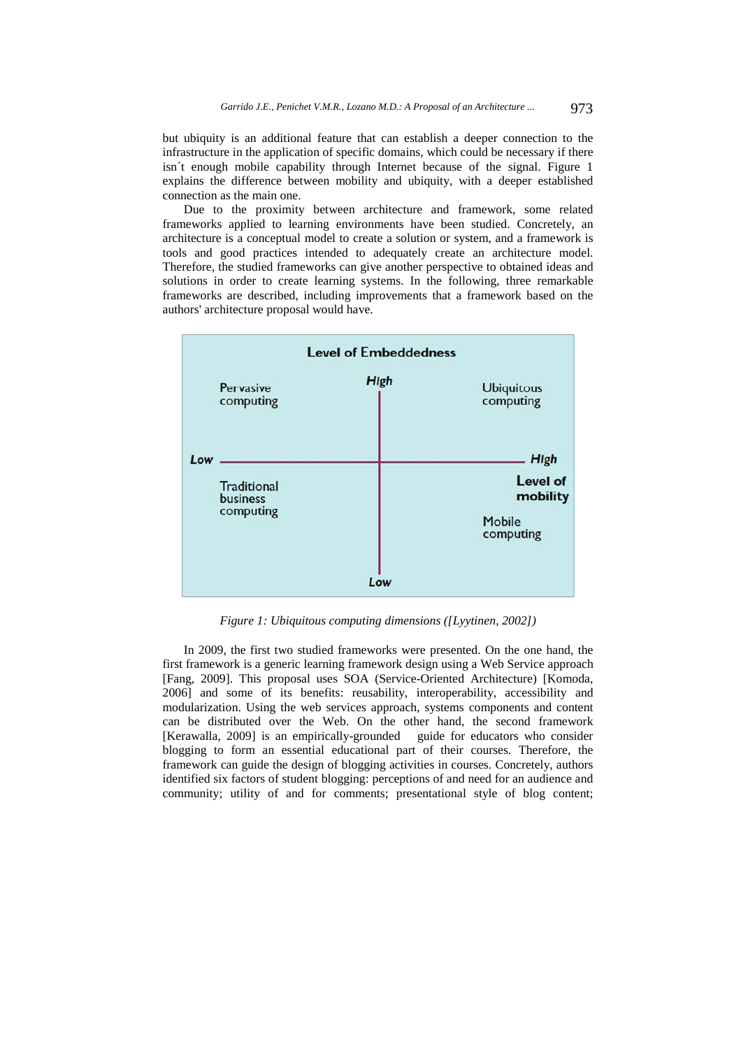but ubiquity is an additional feature that can establish a deeper connection to the infrastructure in the application of specific domains, which could be necessary if there isn´t enough mobile capability through Internet because of the signal. Figure 1 explains the difference between mobility and ubiquity, with a deeper established connection as the main one.

Due to the proximity between architecture and framework, some related frameworks applied to learning environments have been studied. Concretely, an architecture is a conceptual model to create a solution or system, and a framework is tools and good practices intended to adequately create an architecture model. Therefore, the studied frameworks can give another perspective to obtained ideas and solutions in order to create learning systems. In the following, three remarkable frameworks are described, including improvements that a framework based on the authors' architecture proposal would have.



*Figure 1: Ubiquitous computing dimensions ([Lyytinen, 2002])* 

In 2009, the first two studied frameworks were presented. On the one hand, the first framework is a generic learning framework design using a Web Service approach [Fang, 2009]. This proposal uses SOA (Service-Oriented Architecture) [Komoda, 2006] and some of its benefits: reusability, interoperability, accessibility and modularization. Using the web services approach, systems components and content can be distributed over the Web. On the other hand, the second framework [Kerawalla, 2009] is an empirically-grounded guide for educators who consider blogging to form an essential educational part of their courses. Therefore, the framework can guide the design of blogging activities in courses. Concretely, authors identified six factors of student blogging: perceptions of and need for an audience and community; utility of and for comments; presentational style of blog content;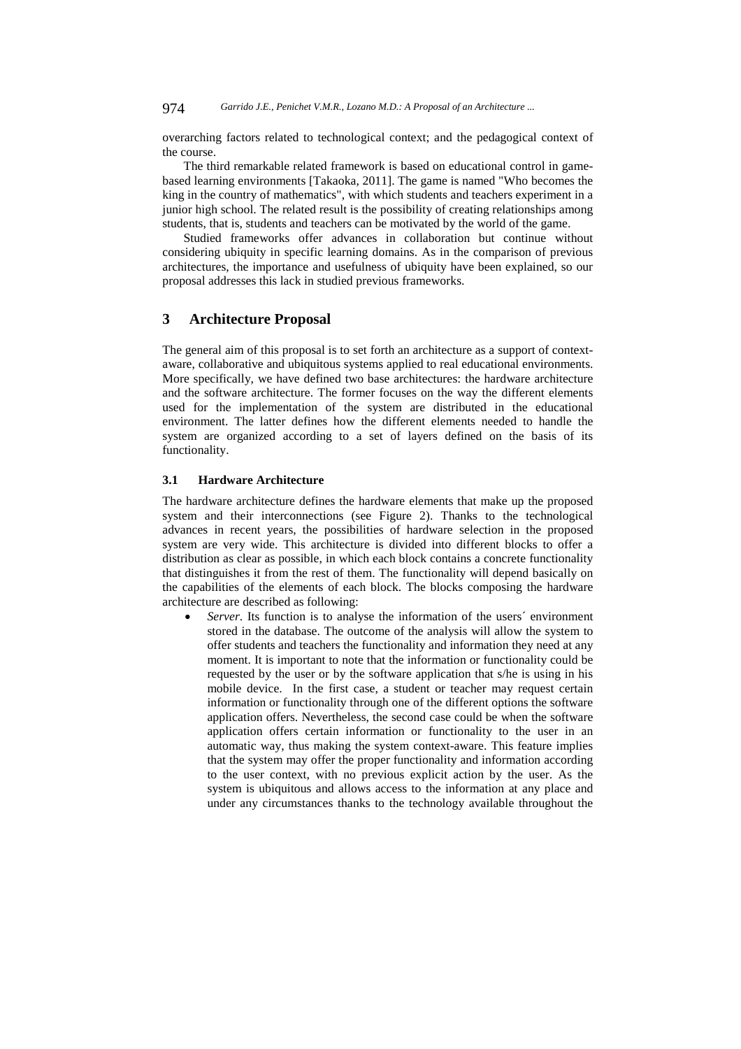overarching factors related to technological context; and the pedagogical context of the course.

The third remarkable related framework is based on educational control in gamebased learning environments [Takaoka, 2011]. The game is named "Who becomes the king in the country of mathematics", with which students and teachers experiment in a junior high school. The related result is the possibility of creating relationships among students, that is, students and teachers can be motivated by the world of the game.

Studied frameworks offer advances in collaboration but continue without considering ubiquity in specific learning domains. As in the comparison of previous architectures, the importance and usefulness of ubiquity have been explained, so our proposal addresses this lack in studied previous frameworks.

## **3 Architecture Proposal**

The general aim of this proposal is to set forth an architecture as a support of contextaware, collaborative and ubiquitous systems applied to real educational environments. More specifically, we have defined two base architectures: the hardware architecture and the software architecture. The former focuses on the way the different elements used for the implementation of the system are distributed in the educational environment. The latter defines how the different elements needed to handle the system are organized according to a set of layers defined on the basis of its functionality.

#### **3.1 Hardware Architecture**

The hardware architecture defines the hardware elements that make up the proposed system and their interconnections (see Figure 2). Thanks to the technological advances in recent years, the possibilities of hardware selection in the proposed system are very wide. This architecture is divided into different blocks to offer a distribution as clear as possible, in which each block contains a concrete functionality that distinguishes it from the rest of them. The functionality will depend basically on the capabilities of the elements of each block. The blocks composing the hardware architecture are described as following:

 *Server*. Its function is to analyse the information of the users´ environment stored in the database. The outcome of the analysis will allow the system to offer students and teachers the functionality and information they need at any moment. It is important to note that the information or functionality could be requested by the user or by the software application that s/he is using in his mobile device. In the first case, a student or teacher may request certain information or functionality through one of the different options the software application offers. Nevertheless, the second case could be when the software application offers certain information or functionality to the user in an automatic way, thus making the system context-aware. This feature implies that the system may offer the proper functionality and information according to the user context, with no previous explicit action by the user. As the system is ubiquitous and allows access to the information at any place and under any circumstances thanks to the technology available throughout the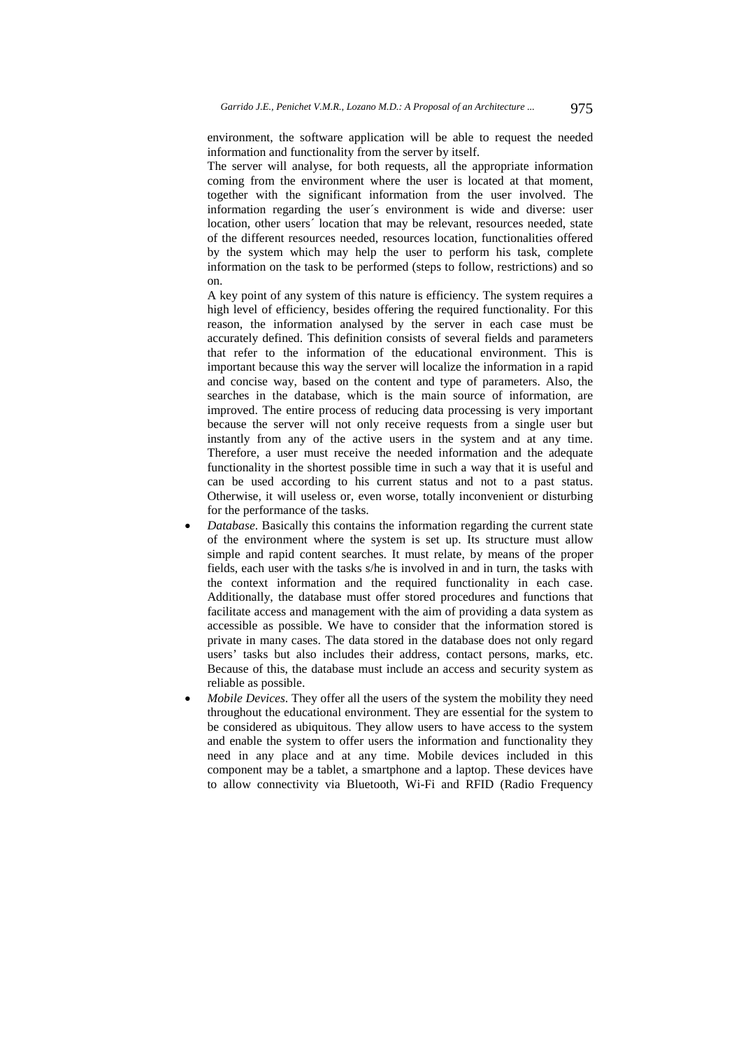environment, the software application will be able to request the needed information and functionality from the server by itself.

The server will analyse, for both requests, all the appropriate information coming from the environment where the user is located at that moment, together with the significant information from the user involved. The information regarding the user´s environment is wide and diverse: user location, other users<sup> $\prime$ </sup> location that may be relevant, resources needed, state of the different resources needed, resources location, functionalities offered by the system which may help the user to perform his task, complete information on the task to be performed (steps to follow, restrictions) and so on.

A key point of any system of this nature is efficiency. The system requires a high level of efficiency, besides offering the required functionality. For this reason, the information analysed by the server in each case must be accurately defined. This definition consists of several fields and parameters that refer to the information of the educational environment. This is important because this way the server will localize the information in a rapid and concise way, based on the content and type of parameters. Also, the searches in the database, which is the main source of information, are improved. The entire process of reducing data processing is very important because the server will not only receive requests from a single user but instantly from any of the active users in the system and at any time. Therefore, a user must receive the needed information and the adequate functionality in the shortest possible time in such a way that it is useful and can be used according to his current status and not to a past status. Otherwise, it will useless or, even worse, totally inconvenient or disturbing for the performance of the tasks.

- *Database*. Basically this contains the information regarding the current state of the environment where the system is set up. Its structure must allow simple and rapid content searches. It must relate, by means of the proper fields, each user with the tasks s/he is involved in and in turn, the tasks with the context information and the required functionality in each case. Additionally, the database must offer stored procedures and functions that facilitate access and management with the aim of providing a data system as accessible as possible. We have to consider that the information stored is private in many cases. The data stored in the database does not only regard users' tasks but also includes their address, contact persons, marks, etc. Because of this, the database must include an access and security system as reliable as possible.
- *Mobile Devices*. They offer all the users of the system the mobility they need throughout the educational environment. They are essential for the system to be considered as ubiquitous. They allow users to have access to the system and enable the system to offer users the information and functionality they need in any place and at any time. Mobile devices included in this component may be a tablet, a smartphone and a laptop. These devices have to allow connectivity via Bluetooth, Wi-Fi and RFID (Radio Frequency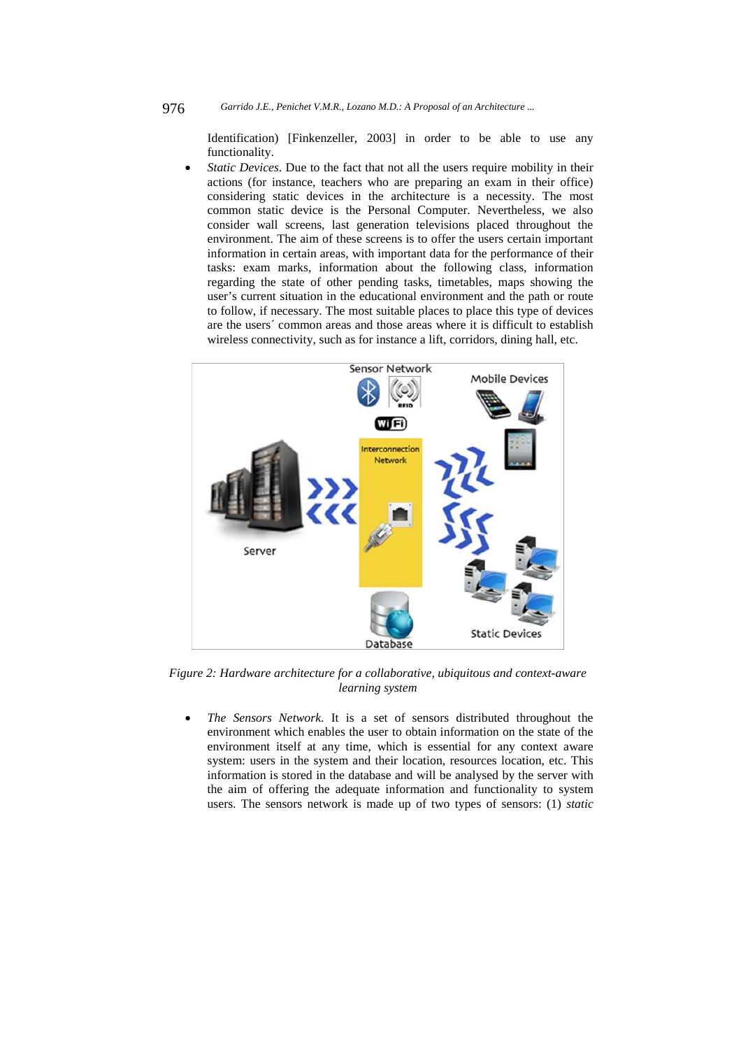Identification) [Finkenzeller, 2003] in order to be able to use any functionality.

 *Static Devices*. Due to the fact that not all the users require mobility in their actions (for instance, teachers who are preparing an exam in their office) considering static devices in the architecture is a necessity. The most common static device is the Personal Computer. Nevertheless, we also consider wall screens, last generation televisions placed throughout the environment. The aim of these screens is to offer the users certain important information in certain areas, with important data for the performance of their tasks: exam marks, information about the following class, information regarding the state of other pending tasks, timetables, maps showing the user's current situation in the educational environment and the path or route to follow, if necessary. The most suitable places to place this type of devices are the users´ common areas and those areas where it is difficult to establish wireless connectivity, such as for instance a lift, corridors, dining hall, etc.



*Figure 2: Hardware architecture for a collaborative, ubiquitous and context-aware learning system* 

 *The Sensors Network*. It is a set of sensors distributed throughout the environment which enables the user to obtain information on the state of the environment itself at any time, which is essential for any context aware system: users in the system and their location, resources location, etc. This information is stored in the database and will be analysed by the server with the aim of offering the adequate information and functionality to system users. The sensors network is made up of two types of sensors: (1) *static*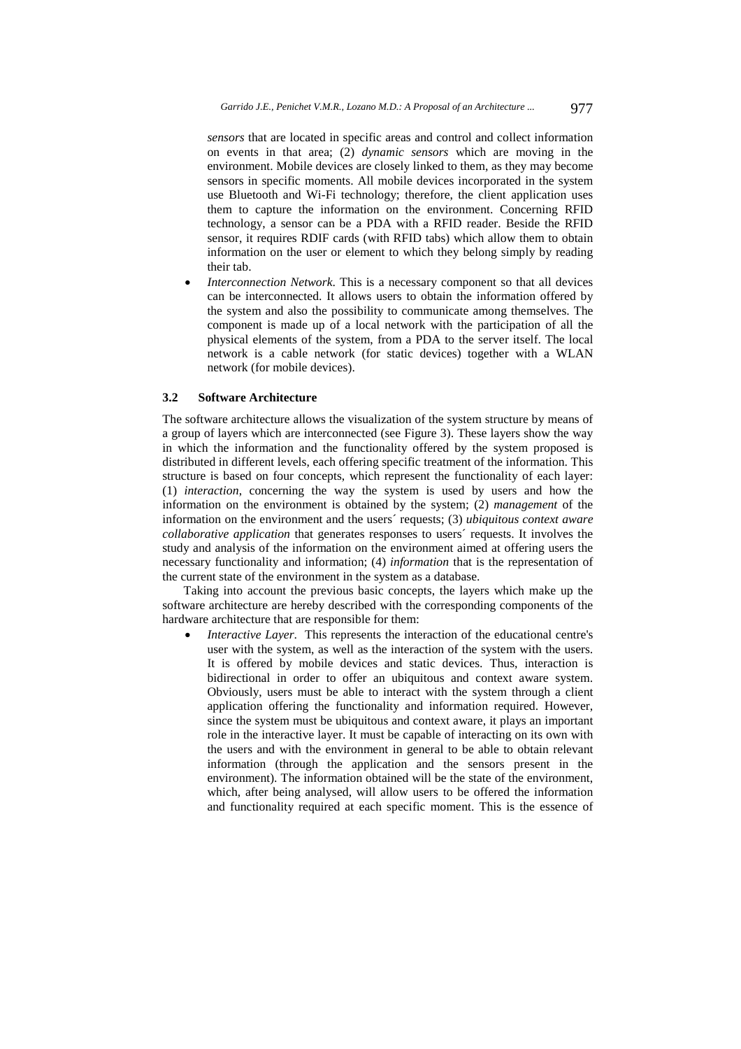*sensors* that are located in specific areas and control and collect information on events in that area; (2) *dynamic sensors* which are moving in the environment. Mobile devices are closely linked to them, as they may become sensors in specific moments. All mobile devices incorporated in the system use Bluetooth and Wi-Fi technology; therefore, the client application uses them to capture the information on the environment. Concerning RFID technology, a sensor can be a PDA with a RFID reader. Beside the RFID sensor, it requires RDIF cards (with RFID tabs) which allow them to obtain information on the user or element to which they belong simply by reading their tab.

 *Interconnection Network*. This is a necessary component so that all devices can be interconnected. It allows users to obtain the information offered by the system and also the possibility to communicate among themselves. The component is made up of a local network with the participation of all the physical elements of the system, from a PDA to the server itself. The local network is a cable network (for static devices) together with a WLAN network (for mobile devices).

#### **3.2 Software Architecture**

The software architecture allows the visualization of the system structure by means of a group of layers which are interconnected (see Figure 3). These layers show the way in which the information and the functionality offered by the system proposed is distributed in different levels, each offering specific treatment of the information. This structure is based on four concepts, which represent the functionality of each layer: (1) *interaction*, concerning the way the system is used by users and how the information on the environment is obtained by the system; (2) *management* of the information on the environment and the users´ requests; (3) *ubiquitous context aware collaborative application* that generates responses to users´ requests. It involves the study and analysis of the information on the environment aimed at offering users the necessary functionality and information; (4) *information* that is the representation of the current state of the environment in the system as a database.

Taking into account the previous basic concepts, the layers which make up the software architecture are hereby described with the corresponding components of the hardware architecture that are responsible for them:

 *Interactive Layer*. This represents the interaction of the educational centre's user with the system, as well as the interaction of the system with the users. It is offered by mobile devices and static devices. Thus, interaction is bidirectional in order to offer an ubiquitous and context aware system. Obviously, users must be able to interact with the system through a client application offering the functionality and information required. However, since the system must be ubiquitous and context aware, it plays an important role in the interactive layer. It must be capable of interacting on its own with the users and with the environment in general to be able to obtain relevant information (through the application and the sensors present in the environment). The information obtained will be the state of the environment, which, after being analysed, will allow users to be offered the information and functionality required at each specific moment. This is the essence of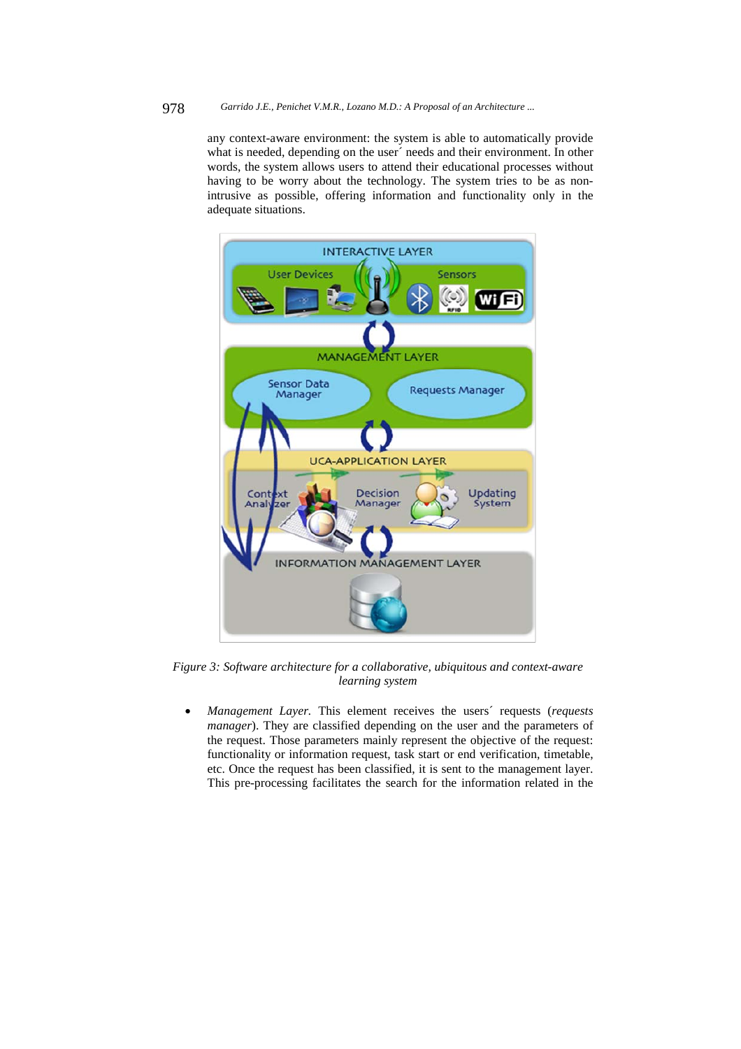any context-aware environment: the system is able to automatically provide what is needed, depending on the user needs and their environment. In other words, the system allows users to attend their educational processes without having to be worry about the technology. The system tries to be as nonintrusive as possible, offering information and functionality only in the adequate situations.



*Figure 3: Software architecture for a collaborative, ubiquitous and context-aware learning system* 

 *Management Layer.* This element receives the users´ requests (*requests manager*). They are classified depending on the user and the parameters of the request. Those parameters mainly represent the objective of the request: functionality or information request, task start or end verification, timetable, etc. Once the request has been classified, it is sent to the management layer. This pre-processing facilitates the search for the information related in the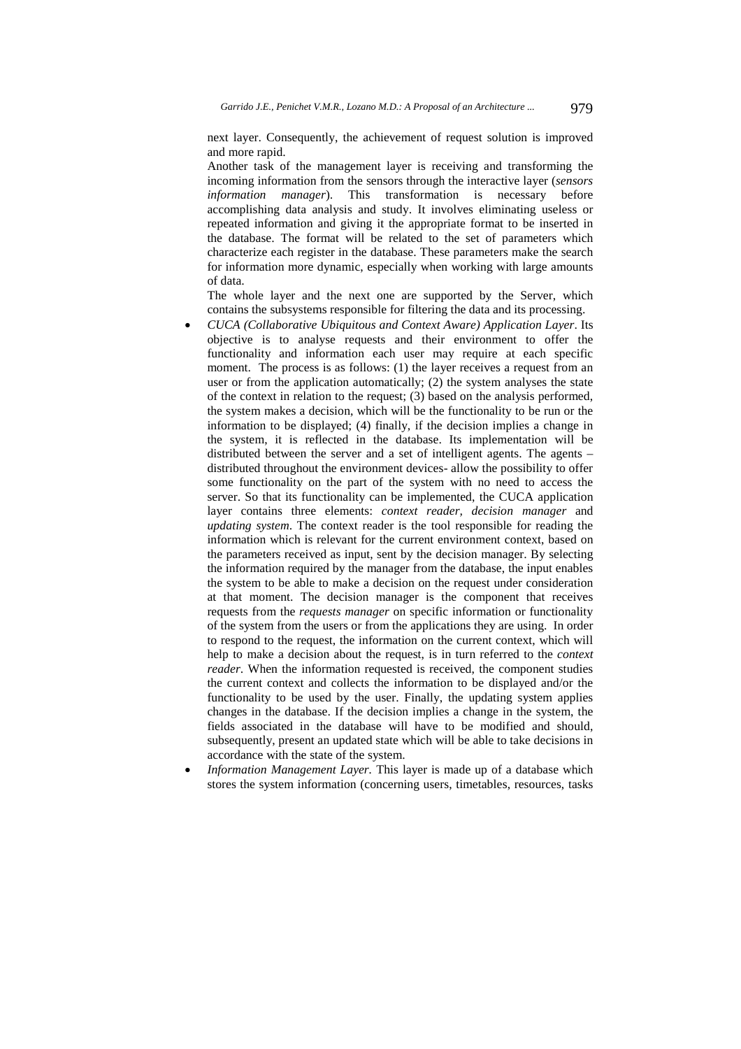next layer. Consequently, the achievement of request solution is improved and more rapid.

Another task of the management layer is receiving and transforming the incoming information from the sensors through the interactive layer (*sensors information manager*). This transformation is necessary before accomplishing data analysis and study. It involves eliminating useless or repeated information and giving it the appropriate format to be inserted in the database. The format will be related to the set of parameters which characterize each register in the database. These parameters make the search for information more dynamic, especially when working with large amounts of data.

The whole layer and the next one are supported by the Server, which contains the subsystems responsible for filtering the data and its processing.

- *CUCA (Collaborative Ubiquitous and Context Aware) Application Layer*. Its objective is to analyse requests and their environment to offer the functionality and information each user may require at each specific moment. The process is as follows: (1) the layer receives a request from an user or from the application automatically; (2) the system analyses the state of the context in relation to the request; (3) based on the analysis performed, the system makes a decision, which will be the functionality to be run or the information to be displayed; (4) finally, if the decision implies a change in the system, it is reflected in the database. Its implementation will be distributed between the server and a set of intelligent agents. The agents – distributed throughout the environment devices- allow the possibility to offer some functionality on the part of the system with no need to access the server. So that its functionality can be implemented, the CUCA application layer contains three elements: *context reader, decision manager* and *updating system*. The context reader is the tool responsible for reading the information which is relevant for the current environment context, based on the parameters received as input, sent by the decision manager. By selecting the information required by the manager from the database, the input enables the system to be able to make a decision on the request under consideration at that moment. The decision manager is the component that receives requests from the *requests manager* on specific information or functionality of the system from the users or from the applications they are using. In order to respond to the request, the information on the current context, which will help to make a decision about the request, is in turn referred to the *context reader*. When the information requested is received, the component studies the current context and collects the information to be displayed and/or the functionality to be used by the user. Finally, the updating system applies changes in the database. If the decision implies a change in the system, the fields associated in the database will have to be modified and should, subsequently, present an updated state which will be able to take decisions in accordance with the state of the system.
- *Information Management Layer.* This layer is made up of a database which stores the system information (concerning users, timetables, resources, tasks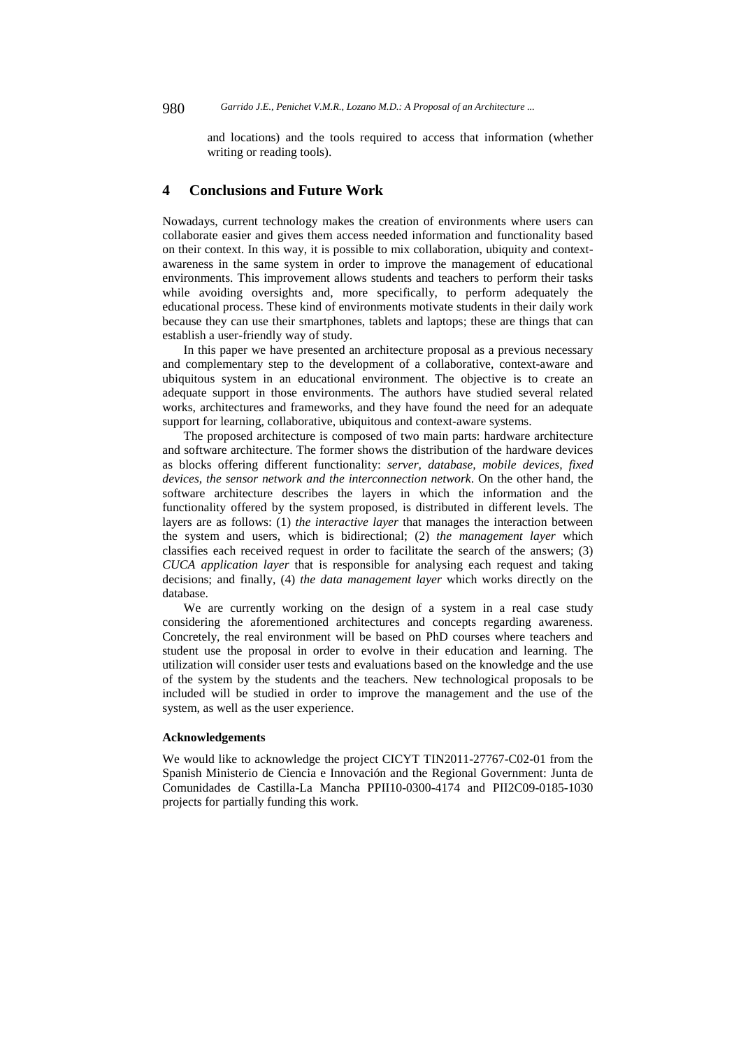and locations) and the tools required to access that information (whether writing or reading tools).

## **4 Conclusions and Future Work**

Nowadays, current technology makes the creation of environments where users can collaborate easier and gives them access needed information and functionality based on their context. In this way, it is possible to mix collaboration, ubiquity and contextawareness in the same system in order to improve the management of educational environments. This improvement allows students and teachers to perform their tasks while avoiding oversights and, more specifically, to perform adequately the educational process. These kind of environments motivate students in their daily work because they can use their smartphones, tablets and laptops; these are things that can establish a user-friendly way of study.

In this paper we have presented an architecture proposal as a previous necessary and complementary step to the development of a collaborative, context-aware and ubiquitous system in an educational environment. The objective is to create an adequate support in those environments. The authors have studied several related works, architectures and frameworks, and they have found the need for an adequate support for learning, collaborative, ubiquitous and context-aware systems.

The proposed architecture is composed of two main parts: hardware architecture and software architecture. The former shows the distribution of the hardware devices as blocks offering different functionality: *server, database, mobile devices, fixed devices, the sensor network and the interconnection network*. On the other hand, the software architecture describes the layers in which the information and the functionality offered by the system proposed, is distributed in different levels. The layers are as follows: (1) *the interactive layer* that manages the interaction between the system and users, which is bidirectional; (2) *the management layer* which classifies each received request in order to facilitate the search of the answers; (3) *CUCA application layer* that is responsible for analysing each request and taking decisions; and finally, (4) *the data management layer* which works directly on the database.

We are currently working on the design of a system in a real case study considering the aforementioned architectures and concepts regarding awareness. Concretely, the real environment will be based on PhD courses where teachers and student use the proposal in order to evolve in their education and learning. The utilization will consider user tests and evaluations based on the knowledge and the use of the system by the students and the teachers. New technological proposals to be included will be studied in order to improve the management and the use of the system, as well as the user experience.

#### **Acknowledgements**

We would like to acknowledge the project CICYT TIN2011-27767-C02-01 from the Spanish Ministerio de Ciencia e Innovación and the Regional Government: Junta de Comunidades de Castilla-La Mancha PPII10-0300-4174 and PII2C09-0185-1030 projects for partially funding this work.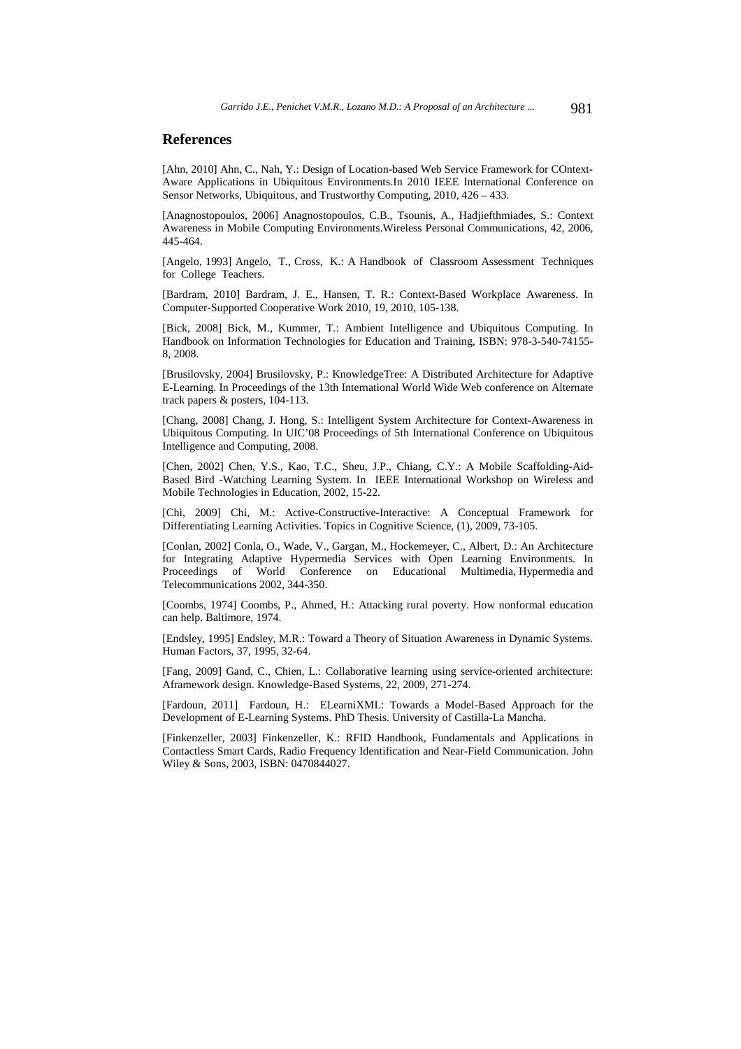## **References**

[Ahn, 2010] Ahn, C., Nah, Y.: Design of Location-based Web Service Framework for COntext-Aware Applications in Ubiquitous Environments.In 2010 IEEE International Conference on Sensor Networks, Ubiquitous, and Trustworthy Computing, 2010, 426 – 433.

[Anagnostopoulos, 2006] Anagnostopoulos, C.B., Tsounis, A., Hadjiefthmiades, S.: Context Awareness in Mobile Computing Environments.Wireless Personal Communications, 42, 2006, 445-464.

[Angelo, 1993] Angelo, T., Cross, K.: A Handbook of Classroom Assessment Techniques for College Teachers.

[Bardram, 2010] Bardram, J. E., Hansen, T. R.: Context-Based Workplace Awareness. In Computer-Supported Cooperative Work 2010, 19, 2010, 105-138.

[Bick, 2008] Bick, M., Kummer, T.: Ambient Intelligence and Ubiquitous Computing. In Handbook on Information Technologies for Education and Training, ISBN: 978-3-540-74155- 8, 2008.

[Brusilovsky, 2004] Brusilovsky, P.: KnowledgeTree: A Distributed Architecture for Adaptive E-Learning. In Proceedings of the 13th International World Wide Web conference on Alternate track papers & posters, 104-113.

[Chang, 2008] Chang, J. Hong, S.: Intelligent System Architecture for Context-Awareness in Ubiquitous Computing. In UIC'08 Proceedings of 5th International Conference on Ubiquitous Intelligence and Computing, 2008.

[Chen, 2002] Chen, Y.S., Kao, T.C., Sheu, J.P., Chiang, C.Y.: A Mobile Scaffolding-Aid-Based Bird -Watching Learning System. In IEEE International Workshop on Wireless and Mobile Technologies in Education, 2002, 15-22.

[Chi, 2009] Chi, M.: Active-Constructive-Interactive: A Conceptual Framework for Differentiating Learning Activities. Topics in Cognitive Science, (1), 2009, 73-105.

[Conlan, 2002] Conla, O., Wade, V., Gargan, M., Hockemeyer, C., Albert, D.: An Architecture for Integrating Adaptive Hypermedia Services with Open Learning Environments. In Proceedings of World Conference on Educational Multimedia, Hypermedia and Telecommunications 2002, 344-350.

[Coombs, 1974] Coombs, P., Ahmed, H.: Attacking rural poverty. How nonformal education can help. Baltimore, 1974.

[Endsley, 1995] Endsley, M.R.: Toward a Theory of Situation Awareness in Dynamic Systems. Human Factors, 37, 1995, 32-64.

[Fang, 2009] Gand, C., Chien, L.: Collaborative learning using service-oriented architecture: Aframework design. Knowledge-Based Systems, 22, 2009, 271-274.

[Fardoun, 2011] Fardoun, H.: ELearniXML: Towards a Model-Based Approach for the Development of E-Learning Systems. PhD Thesis. University of Castilla-La Mancha.

[Finkenzeller, 2003] Finkenzeller, K.: RFID Handbook, Fundamentals and Applications in Contactless Smart Cards, Radio Frequency Identification and Near-Field Communication. John Wiley & Sons, 2003, ISBN: 0470844027.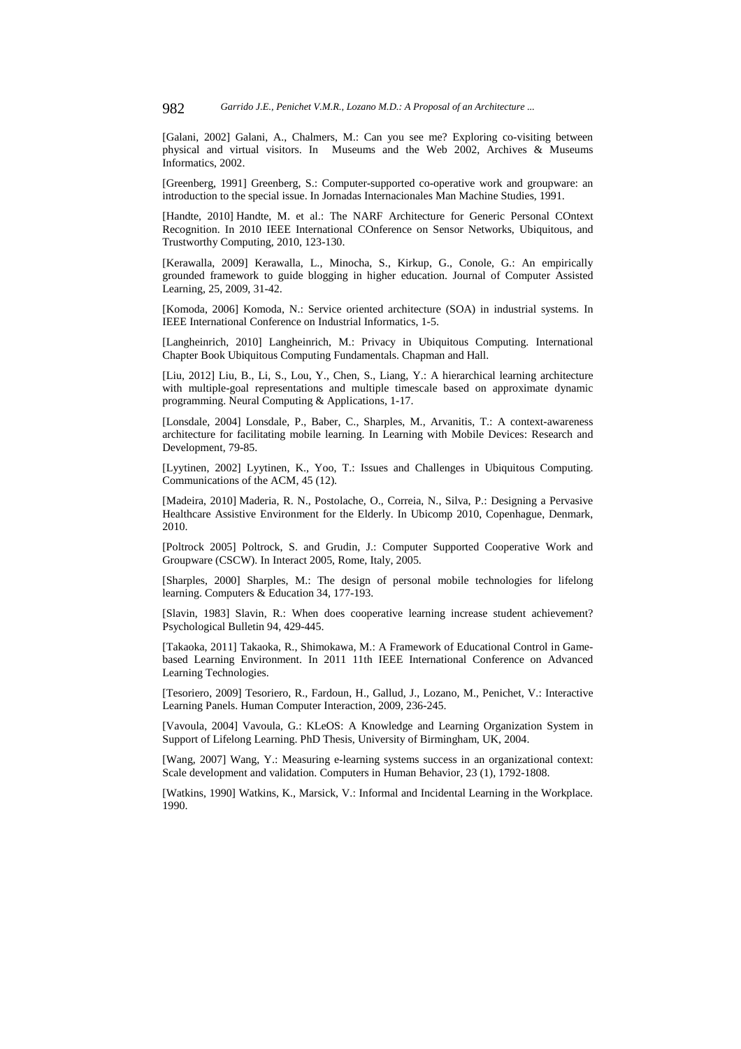[Galani, 2002] Galani, A., Chalmers, M.: Can you see me? Exploring co-visiting between physical and virtual visitors. In Museums and the Web 2002, Archives & Museums Informatics, 2002.

[Greenberg, 1991] Greenberg, S.: Computer-supported co-operative work and groupware: an introduction to the special issue. In Jornadas Internacionales Man Machine Studies, 1991.

[Handte, 2010] Handte, M. et al.: The NARF Architecture for Generic Personal COntext Recognition. In 2010 IEEE International COnference on Sensor Networks, Ubiquitous, and Trustworthy Computing, 2010, 123-130.

[Kerawalla, 2009] Kerawalla, L., Minocha, S., Kirkup, G., Conole, G.: An empirically grounded framework to guide blogging in higher education. Journal of Computer Assisted Learning, 25, 2009, 31-42.

[Komoda, 2006] Komoda, N.: Service oriented architecture (SOA) in industrial systems. In IEEE International Conference on Industrial Informatics, 1-5.

[Langheinrich, 2010] Langheinrich, M.: Privacy in Ubiquitous Computing. International Chapter Book Ubiquitous Computing Fundamentals. Chapman and Hall.

[Liu, 2012] Liu, B., Li, S., Lou, Y., Chen, S., Liang, Y.: A hierarchical learning architecture with multiple-goal representations and multiple timescale based on approximate dynamic programming. Neural Computing & Applications, 1-17.

[Lonsdale, 2004] Lonsdale, P., Baber, C., Sharples, M., Arvanitis, T.: A context-awareness architecture for facilitating mobile learning. In Learning with Mobile Devices: Research and Development, 79-85.

[Lyytinen, 2002] Lyytinen, K., Yoo, T.: Issues and Challenges in Ubiquitous Computing. Communications of the ACM, 45 (12).

[Madeira, 2010] Maderia, R. N., Postolache, O., Correia, N., Silva, P.: Designing a Pervasive Healthcare Assistive Environment for the Elderly. In Ubicomp 2010, Copenhague, Denmark, 2010.

[Poltrock 2005] Poltrock, S. and Grudin, J.: Computer Supported Cooperative Work and Groupware (CSCW). In Interact 2005, Rome, Italy, 2005.

[Sharples, 2000] Sharples, M.: The design of personal mobile technologies for lifelong learning. Computers & Education 34, 177-193.

[Slavin, 1983] Slavin, R.: When does cooperative learning increase student achievement? Psychological Bulletin 94, 429-445.

[Takaoka, 2011] Takaoka, R., Shimokawa, M.: A Framework of Educational Control in Gamebased Learning Environment. In 2011 11th IEEE International Conference on Advanced Learning Technologies.

[Tesoriero, 2009] Tesoriero, R., Fardoun, H., Gallud, J., Lozano, M., Penichet, V.: Interactive Learning Panels. Human Computer Interaction, 2009, 236-245.

[Vavoula, 2004] Vavoula, G.: KLeOS: A Knowledge and Learning Organization System in Support of Lifelong Learning. PhD Thesis, University of Birmingham, UK, 2004.

[Wang, 2007] Wang, Y.: Measuring e-learning systems success in an organizational context: Scale development and validation. Computers in Human Behavior, 23 (1), 1792-1808.

[Watkins, 1990] Watkins, K., Marsick, V.: Informal and Incidental Learning in the Workplace. 1990.